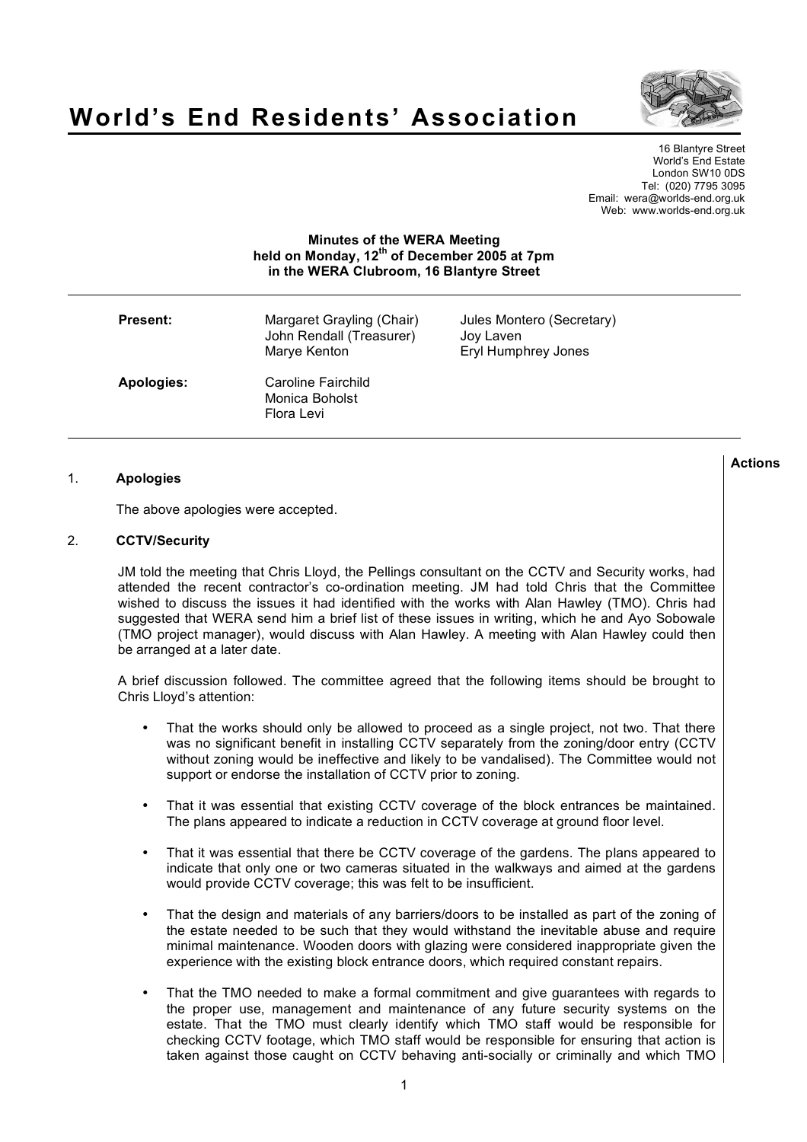

# **World's End Residents' Association**

16 Blantyre Street World's End Estate London SW10 0DS Tel: (020) 7795 3095 Email: wera@worlds-end.org.uk Web: www.worlds-end.org.uk

# **Minutes of the WERA Meeting held on Monday, 12th of December 2005 at 7pm in the WERA Clubroom, 16 Blantyre Street**

| <b>Present:</b> | Margaret Grayling (Chair)<br>John Rendall (Treasurer)<br>Marye Kenton | Jules Montero (Secretary)<br>Joy Laven<br>Eryl Humphrey Jones |
|-----------------|-----------------------------------------------------------------------|---------------------------------------------------------------|
| Apologies:      | Caroline Fairchild<br>Monica Boholst<br>Flora Levi                    |                                                               |

## 1. **Apologies**

The above apologies were accepted.

#### 2. **CCTV/Security**

JM told the meeting that Chris Lloyd, the Pellings consultant on the CCTV and Security works, had attended the recent contractor's co-ordination meeting. JM had told Chris that the Committee wished to discuss the issues it had identified with the works with Alan Hawley (TMO). Chris had suggested that WERA send him a brief list of these issues in writing, which he and Ayo Sobowale (TMO project manager), would discuss with Alan Hawley. A meeting with Alan Hawley could then be arranged at a later date.

A brief discussion followed. The committee agreed that the following items should be brought to Chris Lloyd's attention:

- That the works should only be allowed to proceed as a single project, not two. That there was no significant benefit in installing CCTV separately from the zoning/door entry (CCTV without zoning would be ineffective and likely to be vandalised). The Committee would not support or endorse the installation of CCTV prior to zoning.
- That it was essential that existing CCTV coverage of the block entrances be maintained. The plans appeared to indicate a reduction in CCTV coverage at ground floor level.
- That it was essential that there be CCTV coverage of the gardens. The plans appeared to indicate that only one or two cameras situated in the walkways and aimed at the gardens would provide CCTV coverage; this was felt to be insufficient.
- That the design and materials of any barriers/doors to be installed as part of the zoning of the estate needed to be such that they would withstand the inevitable abuse and require minimal maintenance. Wooden doors with glazing were considered inappropriate given the experience with the existing block entrance doors, which required constant repairs.
- That the TMO needed to make a formal commitment and give guarantees with regards to the proper use, management and maintenance of any future security systems on the estate. That the TMO must clearly identify which TMO staff would be responsible for checking CCTV footage, which TMO staff would be responsible for ensuring that action is taken against those caught on CCTV behaving anti-socially or criminally and which TMO

**Actions**